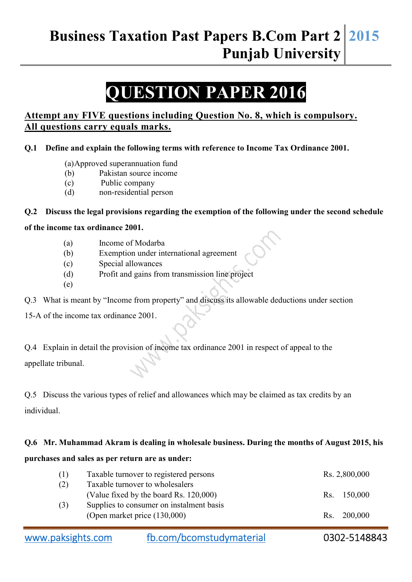## **Business Taxation Past Papers B.Com Part 2 Punjab University 2015**

# **QUESTION PAPER 2016**

#### **Attempt any FIVE questions including Question No. 8, which is compulsory. All questions carry equals marks.**

#### **Q.1 Define and explain the following terms with reference to Income Tax Ordinance 2001.**

- (a) Approved superannuation fund
- (b) Pakistan source income
- (c) Public company
- (d) non-residential person

#### **Q.2 Discuss the legal provisions regarding the exemption of the following under the second schedule**

#### **of the income tax ordinance 2001.**

- (a) Income of Modarba
- (b) Exemption under international agreement
- (c) Special allowances
- (d) Profit and gains from transmission line project
- (e)

Q.3 What is meant by "Income from property" and discuss its allowable deductions under section

15-A of the income tax ordinance 2001.

Q.4 Explain in detail the provision of income tax ordinance 2001 in respect of appeal to the appellate tribunal.

Q.5 Discuss the various types of relief and allowances which may be claimed as tax credits by an individual.

#### **Q.6 Mr. Muhammad Akram is dealing in wholesale business. During the months of August 2015, his**

#### **purchases and sales as per return are as under:**

| (1) | Taxable turnover to registered persons   | Rs. 2,800,000 |
|-----|------------------------------------------|---------------|
| (2) | Taxable turnover to wholesalers          |               |
|     | (Value fixed by the board Rs. 120,000)   | Rs. 150,000   |
| (3) | Supplies to consumer on instalment basis |               |
|     | (Open market price $(130,000)$ )         | Rs. 200,000   |
|     |                                          |               |

| www.paksights.com | fb.com/bcomstudymaterial | 0302-5148843 |
|-------------------|--------------------------|--------------|
|                   |                          |              |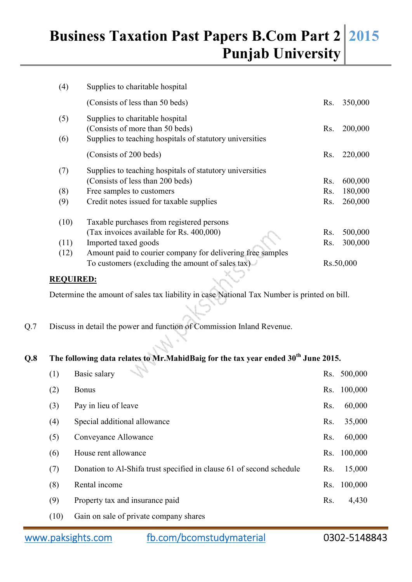## **Business Taxation Past Papers B.Com Part 2 Punjab University 2015**

| (4)  | Supplies to charitable hospital                            |     |           |  |  |
|------|------------------------------------------------------------|-----|-----------|--|--|
|      | (Consists of less than 50 beds)                            | Rs. | 350,000   |  |  |
| (5)  | Supplies to charitable hospital                            |     |           |  |  |
|      | (Consists of more than 50 beds)                            | Rs. | 200,000   |  |  |
| (6)  | Supplies to teaching hospitals of statutory universities   |     |           |  |  |
|      | (Consists of 200 beds)                                     | Rs. | 220,000   |  |  |
| (7)  | Supplies to teaching hospitals of statutory universities   |     |           |  |  |
|      | (Consists of less than 200 beds)                           | Rs. | 600,000   |  |  |
| (8)  | Free samples to customers                                  | Rs. | 180,000   |  |  |
| (9)  | Credit notes issued for taxable supplies                   | Rs. | 260,000   |  |  |
| (10) | Taxable purchases from registered persons                  |     |           |  |  |
|      | (Tax invoices available for Rs. 400,000)                   | Rs. | 500,000   |  |  |
| (11) | Imported taxed goods                                       | Rs. | 300,000   |  |  |
| (12) | Amount paid to courier company for delivering free samples |     |           |  |  |
|      | To customers (excluding the amount of sales tax)           |     | Rs.50,000 |  |  |

#### **REQUIRED:**

Determine the amount of sales tax liability in case National Tax Number is printed on bill.

Q.7 Discuss in detail the power and function of Commission Inland Revenue.

## **Q.8 The following data relates to Mr.MahidBaig for the tax year ended 30th June 2015.**

| (1)  | n Card<br>Basic salary                                               | Rs. | 500,000 |
|------|----------------------------------------------------------------------|-----|---------|
| (2)  | <b>Bonus</b>                                                         | Rs. | 100,000 |
| (3)  | Pay in lieu of leave                                                 | Rs. | 60,000  |
| (4)  | Special additional allowance                                         | Rs. | 35,000  |
| (5)  | Conveyance Allowance                                                 | Rs. | 60,000  |
| (6)  | House rent allowance                                                 | Rs. | 100,000 |
| (7)  | Donation to Al-Shifa trust specified in clause 61 of second schedule | Rs. | 15,000  |
| (8)  | Rental income                                                        | Rs. | 100,000 |
| (9)  | Property tax and insurance paid                                      | Rs. | 4,430   |
| (10) | Gain on sale of private company shares                               |     |         |

www.paksights.com fb.com/bcomstudymaterial 0302-5148843